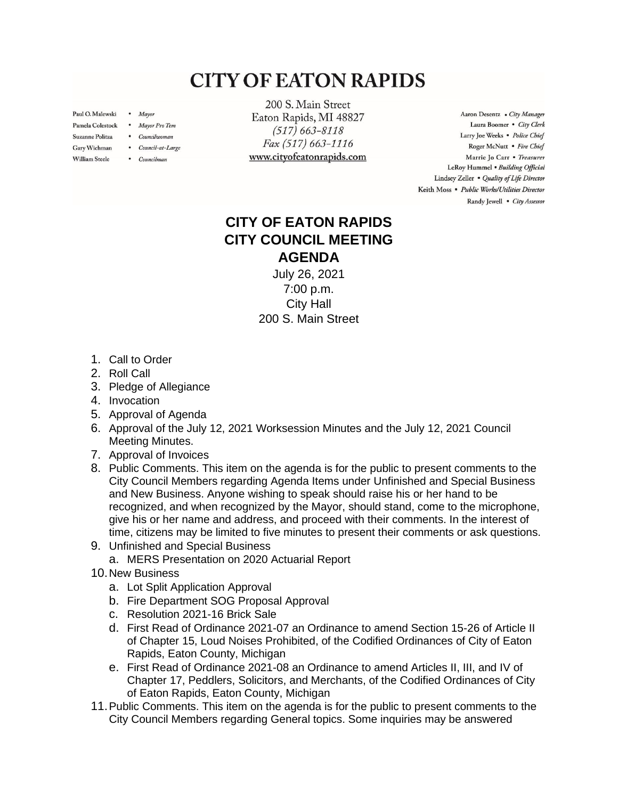## **CITY OF EATON RAPIDS**

Paul O. Malewski . Mayor

**William Steele** 

- Pamela Colestock . Mayor Pro Tem
- Suzanne Politza . Councilwoman
- Gary Wichman . Council-at-Large
	- Councilman

200 S. Main Street Eaton Rapids, MI 48827  $(517) 663 - 8118$ Fax (517) 663-1116 www.cityofeatonrapids.com

Aaron Desentz . City Manager Laura Boomer . City Clerk Larry Joe Weeks . Police Chief Roger McNutt · Fire Chief Marrie Jo Carr . Treasurer LeRoy Hummel . Building Official Lindsey Zeller . Quality of Life Director Keith Moss · Public Works/Utilities Director Randy Jewell . City Assessor

## **CITY OF EATON RAPIDS CITY COUNCIL MEETING AGENDA**

July 26, 2021 7:00 p.m. City Hall 200 S. Main Street

- 1. Call to Order
- 2. Roll Call
- 3. Pledge of Allegiance
- 4. Invocation
- 5. Approval of Agenda
- 6. Approval of the July 12, 2021 Worksession Minutes and the July 12, 2021 Council Meeting Minutes.
- 7. Approval of Invoices
- 8. Public Comments. This item on the agenda is for the public to present comments to the City Council Members regarding Agenda Items under Unfinished and Special Business and New Business. Anyone wishing to speak should raise his or her hand to be recognized, and when recognized by the Mayor, should stand, come to the microphone, give his or her name and address, and proceed with their comments. In the interest of time, citizens may be limited to five minutes to present their comments or ask questions.
- 9. Unfinished and Special Business
	- a. MERS Presentation on 2020 Actuarial Report
- 10.New Business
	- a. Lot Split Application Approval
	- b. Fire Department SOG Proposal Approval
	- c. Resolution 2021-16 Brick Sale
	- d. First Read of Ordinance 2021-07 an Ordinance to amend Section 15-26 of Article II of Chapter 15, Loud Noises Prohibited, of the Codified Ordinances of City of Eaton Rapids, Eaton County, Michigan
	- e. First Read of Ordinance 2021-08 an Ordinance to amend Articles II, III, and IV of Chapter 17, Peddlers, Solicitors, and Merchants, of the Codified Ordinances of City of Eaton Rapids, Eaton County, Michigan
- 11.Public Comments. This item on the agenda is for the public to present comments to the City Council Members regarding General topics. Some inquiries may be answered